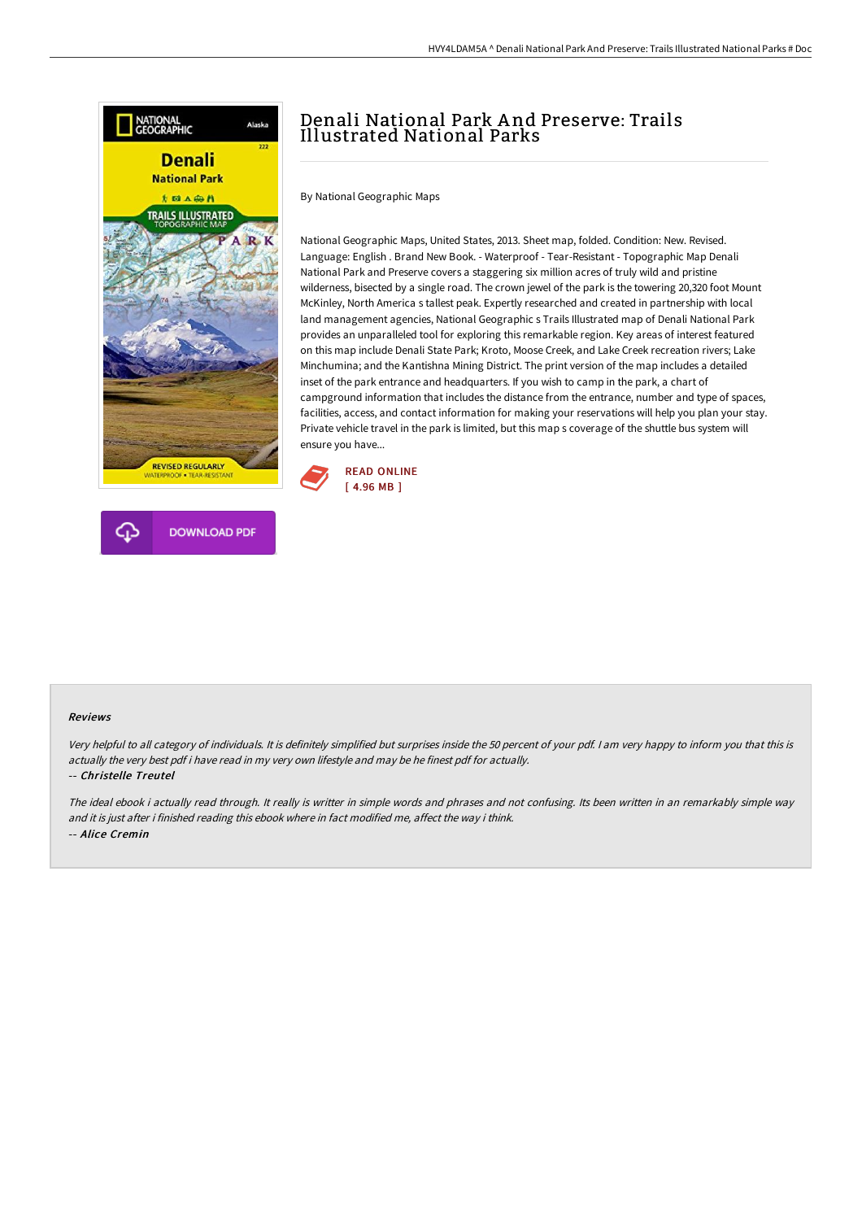



### HVY4LDAM5A ^ Denali National Park And Preserve: Trails Illustrated National Parks # Doc

# Denali National Park A nd Preserve: Trails Illustrated National Parks

By National Geographic Maps

National Geographic Maps, United States, 2013. Sheet map, folded. Condition: New. Revised. Language: English . Brand New Book. - Waterproof - Tear-Resistant - Topographic Map Denali National Park and Preserve covers a staggering six million acres of truly wild and pristine wilderness, bisected by a single road. The crown jewel of the park is the towering 20,320 foot Mount McKinley, North America s tallest peak. Expertly researched and created in partnership with local land management agencies, National Geographic s Trails Illustrated map of Denali National Park provides an unparalleled tool for exploring this remarkable region. Key areas of interest featured on this map include Denali State Park; Kroto, Moose Creek, and Lake Creek recreation rivers; Lake Minchumina; and the Kantishna Mining District. The print version of the map includes a detailed inset of the park entrance and headquarters. If you wish to camp in the park, a chart of campground information that includes the distance from the entrance, number and type of spaces, facilities, access, and contact information for making your reservations will help you plan your stay. Private vehicle travel in the park is limited, but this map s coverage of the shuttle bus system will ensure you have...



#### Reviews

Very helpful to all category of individuals. It is definitely simplified but surprises inside the <sup>50</sup> percent of your pdf. <sup>I</sup> am very happy to inform you that this is actually the very best pdf i have read in my very own lifestyle and may be he finest pdf for actually.

#### -- Christelle Treutel

The ideal ebook i actually read through. It really is writter in simple words and phrases and not confusing. Its been written in an remarkably simple way and it is just after i finished reading this ebook where in fact modified me, affect the way i think. -- Alice Cremin